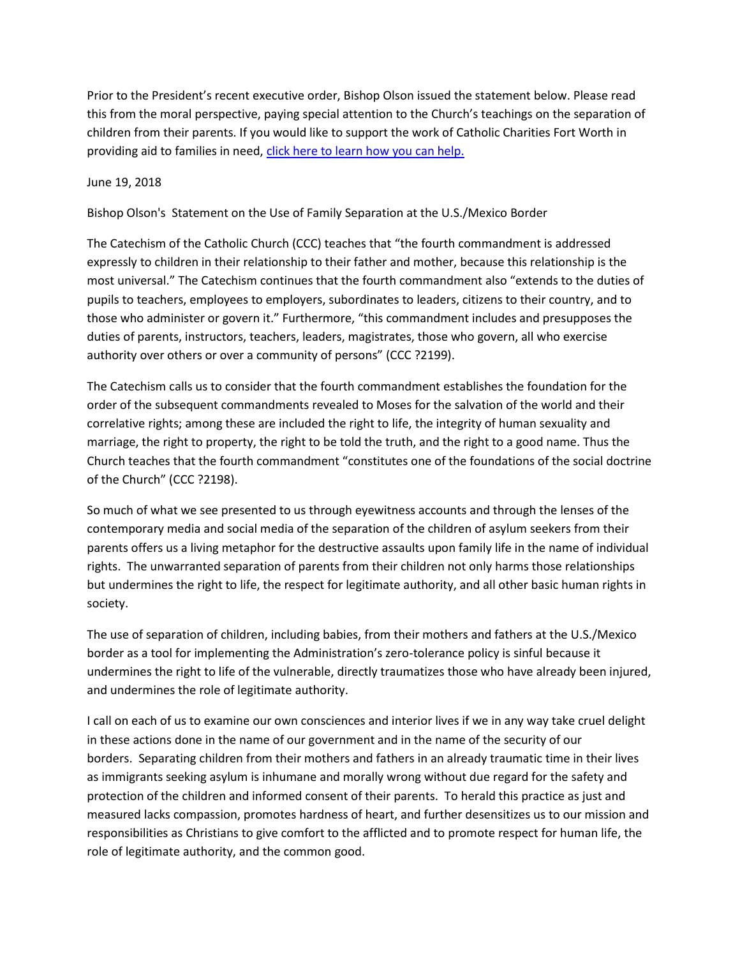Prior to the President's recent executive order, Bishop Olson issued the statement below. Please read this from the moral perspective, paying special attention to the Church's teachings on the separation of children from their parents. If you would like to support the work of Catholic Charities Fort Worth in providing aid to families in need, [click here to learn how you can help.](http://www.gscc.net/pageredir/11749)

## June 19, 2018

Bishop Olson's Statement on the Use of Family Separation at the U.S./Mexico Border

The Catechism of the Catholic Church (CCC) teaches that "the fourth commandment is addressed expressly to children in their relationship to their father and mother, because this relationship is the most universal." The Catechism continues that the fourth commandment also "extends to the duties of pupils to teachers, employees to employers, subordinates to leaders, citizens to their country, and to those who administer or govern it." Furthermore, "this commandment includes and presupposes the duties of parents, instructors, teachers, leaders, magistrates, those who govern, all who exercise authority over others or over a community of persons" (CCC ?2199).

The Catechism calls us to consider that the fourth commandment establishes the foundation for the order of the subsequent commandments revealed to Moses for the salvation of the world and their correlative rights; among these are included the right to life, the integrity of human sexuality and marriage, the right to property, the right to be told the truth, and the right to a good name. Thus the Church teaches that the fourth commandment "constitutes one of the foundations of the social doctrine of the Church" (CCC ?2198).

So much of what we see presented to us through eyewitness accounts and through the lenses of the contemporary media and social media of the separation of the children of asylum seekers from their parents offers us a living metaphor for the destructive assaults upon family life in the name of individual rights. The unwarranted separation of parents from their children not only harms those relationships but undermines the right to life, the respect for legitimate authority, and all other basic human rights in society.

The use of separation of children, including babies, from their mothers and fathers at the U.S./Mexico border as a tool for implementing the Administration's zero-tolerance policy is sinful because it undermines the right to life of the vulnerable, directly traumatizes those who have already been injured, and undermines the role of legitimate authority.

I call on each of us to examine our own consciences and interior lives if we in any way take cruel delight in these actions done in the name of our government and in the name of the security of our borders. Separating children from their mothers and fathers in an already traumatic time in their lives as immigrants seeking asylum is inhumane and morally wrong without due regard for the safety and protection of the children and informed consent of their parents. To herald this practice as just and measured lacks compassion, promotes hardness of heart, and further desensitizes us to our mission and responsibilities as Christians to give comfort to the afflicted and to promote respect for human life, the role of legitimate authority, and the common good.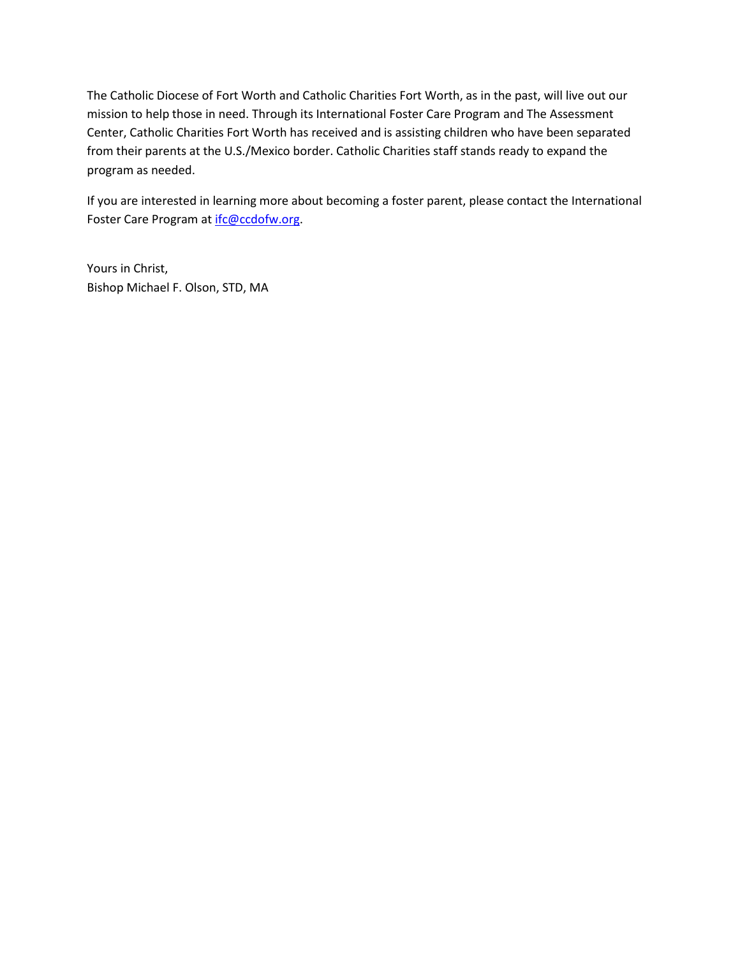The Catholic Diocese of Fort Worth and Catholic Charities Fort Worth, as in the past, will live out our mission to help those in need. Through its International Foster Care Program and The Assessment Center, Catholic Charities Fort Worth has received and is assisting children who have been separated from their parents at the U.S./Mexico border. Catholic Charities staff stands ready to expand the program as needed.

If you are interested in learning more about becoming a foster parent, please contact the International Foster Care Program at [ifc@ccdofw.org.](mailto:ifc@ccdofw.org)

Yours in Christ, Bishop Michael F. Olson, STD, MA